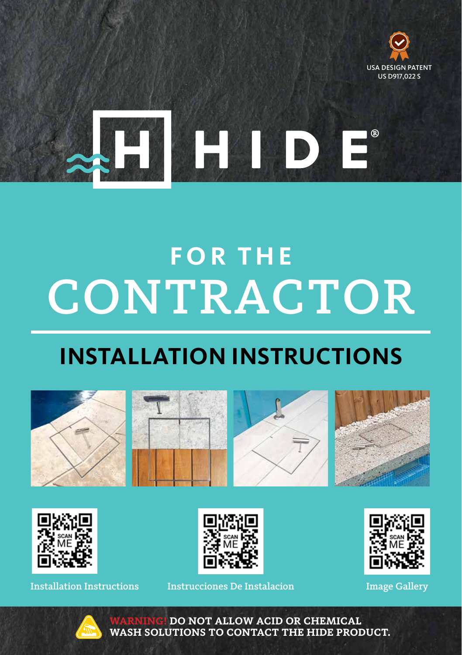



# CONTRACTOR **FOR THE**

# **INSTALLATION INSTRUCTIONS**













Installation Instructions Instrucciones De Instalacion Image Gallery





**DO NOT ALLOW ACID OR CHEMICAL WASH SOLUTIONS TO CONTACT THE HIDE PRODUCT.**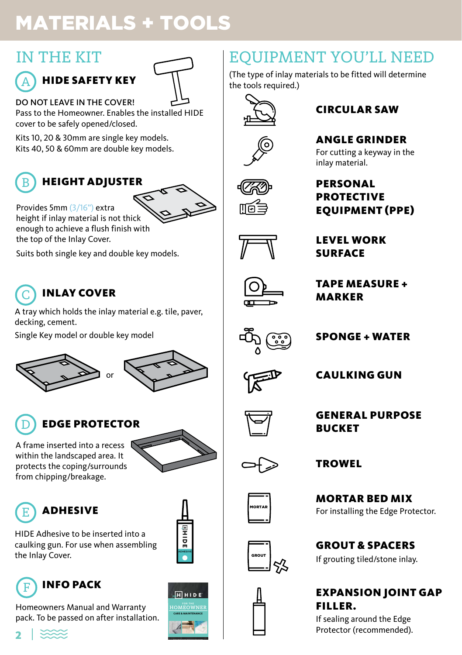# MATERIALS + TOOLS

# IN THE KIT

### HIDE SAFETY KEY A



DO NOT LEAVE IN THE COVER!

Pass to the Homeowner. Enables the installed HIDE cover to be safely opened/closed.

Kits 10, 20 & 30mm are single key models. Kits 40, 50 & 60mm are double key models.



# B HEIGHT ADJUSTER

≤

height if inlay material is not thick enough to achieve a flush finish with the top of the Inlay Cover.

Provides 5mm (3/16") extra

Suits both single key and double key models.

### INLAY COVER C

A tray which holds the inlay material e.g. tile, paver, decking, cement.

Single Key model or double key model







# EDGE PROTECTOR

A frame inserted into a recess  $\mathbb{R}$ within the landscaped area. It protects the coping/surrounds from chipping/breakage.





# **ADHESIVE**

HIDE Adhesive to be inserted into a caulking gun. For use when assembling HIDE Adhesive to be inserted into a<br>caulking gun. For use when assembling<br>the Inlay Cover.

### INFO PACK F

Homeowners Manual and Warranty pack. To be passed on after installation.



# EQUIPMENT YOU'LL NEED

(The type of inlay materials to be fitted will determine the tools required.)



# CIRCULAR SAW

# ANGLE GRINDER

For cutting a keyway in the inlay material.



# **PERSONAL** PROTECTIVE EQUIPMENT (PPE)



LEVEL WORK SURFACE



TAPE MEASURE + MARKER



 $\overline{\phantom{a}}$ 

# SPONGE + WATER



CAULKING GUN





**TROWEL** 

For installing the Edge Protector. MORTAR BED MIX



GROUT & SPACERS If grouting tiled/stone inlay.



EXPANSION JOINT GAP FILLER.

If sealing around the Edge Protector (recommended).

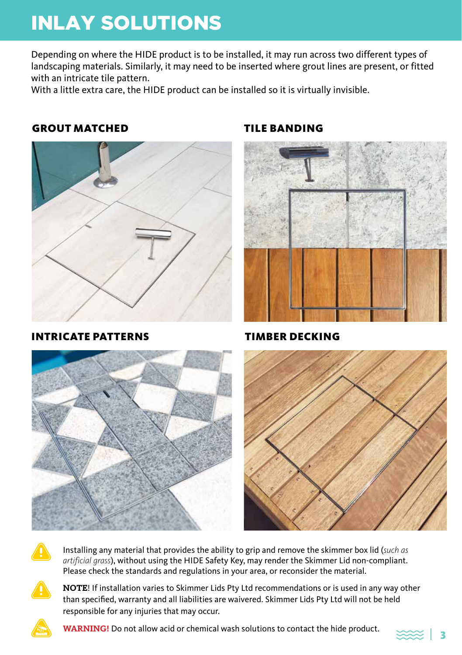# INLAY SOLUTIONS

Depending on where the HIDE product is to be installed, it may run across two different types of landscaping materials. Similarly, it may need to be inserted where grout lines are present, or fitted with an intricate tile pattern.

With a little extra care, the HIDE product can be installed so it is virtually invisible.

# GROUT MATCHED



INTRICATE PATTERNS

# TILE BANDING



TIMBER DECKING







Installing any material that provides the ability to grip and remove the skimmer box lid (*such as artificial grass*), without using the HIDE Safety Key, may render the Skimmer Lid non-compliant. Please check the standards and regulations in your area, or reconsider the material.



**NOTE**! If installation varies to Skimmer Lids Pty Ltd recommendations or is used in any way other than specified, warranty and all liabilities are waivered. Skimmer Lids Pty Ltd will not be held responsible for any injuries that may occur.



**WARNING!** Do not allow acid or chemical wash solutions to contact the hide product.

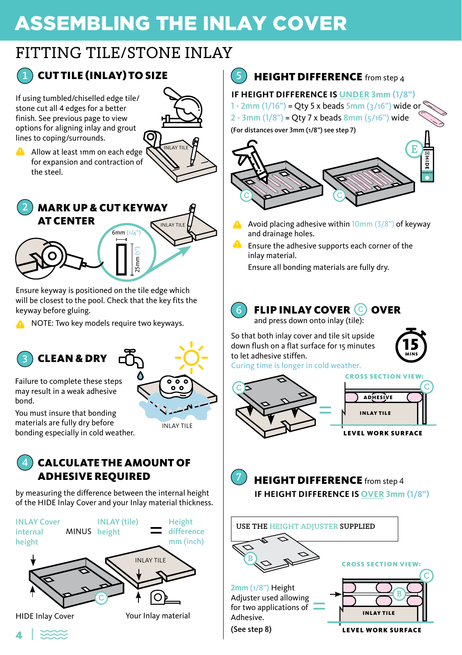# ASSEMBLING THE INLAY COVER

# FITTING TILE/STONE INLAY



# **CUTTILE (INLAY) TO SIZE**

If using tumbled/chiselled edge tile/ stone cut all 4 edges for a better finish. See previous page to view options for aligning inlay and grout lines to coping/surrounds.

Allow at least 1mm on each edge for expansion and contraction of the steel.





Ensure keyway is positioned on the tile edge which will be closest to the pool. Check that the key fits the keyway before gluing.

**A** NOTE: Two key models require two keyways.

## 3 CLEAN & DRY  $\Box$



may result in a weak adhesive bond. You must insure that bonding

materials are fully dry before bonding especially in cold weather.



by measuring the difference between the internal height of the HIDE Inlay Cover and your Inlay material thickness.





**IF HEIGHT DIFFERENCE IS UNDER 3mm (1/8")** 1 - 2mm (1/16") = Otv 5 x beads 5mm ( $\frac{3}{16}$ ") wide or

2 - 3mm  $(1/8")$  = Otv 7 x beads  $8$ mm  $(5/16")$  wide

(For distances over 3mm (1/8") see step 7)



- Avoid placing adhesive within 10mm (3/8") of keyway and drainage holes.
- Ensure the adhesive supports each corner of the inlay material.

Ensure all bonding materials are fully dry.



**FLIP INLAY COVER © OVER** and press down onto inlay (tile):

So that both inlay cover and tile sit upside down flush on a flat surface for 15 minutes to let adhesive stiffen.



Curing time is longer in cold weather.





**LEVEL WORK SURFACE** 



HEIGHT DIFFERENCE from step 4 **IF HEIGHT DIFFERENCE IS OVER 3mm (1/8")**



4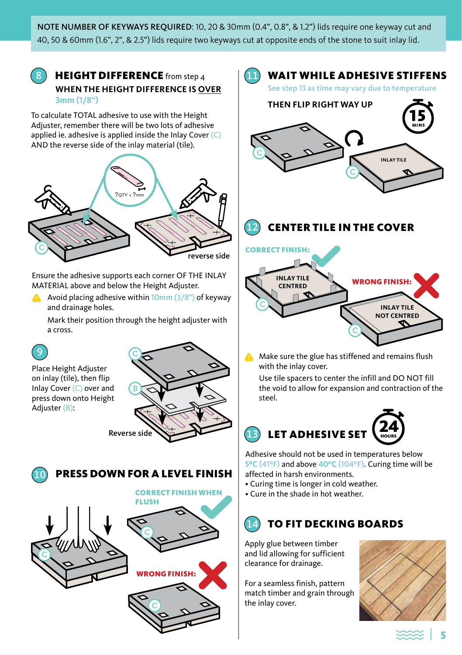NOTE NUMBER OF KEYWAYS REQUIRED: 10, 20 & 30mm (0.4", 0.8", & 1.2") lids require one keyway cut and 40, 50 & 60mm (1.6", 2", & 2.5") lids require two keyways cut at opposite ends of the stone to suit inlay lid.



**HEIGHT DIFFERENCE** from step  $\boldsymbol{\Lambda}$ **WHEN THE HEIGHT DIFFERENCE IS OVER 3mm (1/8")**

To calculate TOTAL adhesive to use with the Height Adjuster, remember there will be two lots of adhesive applied ie. adhesive is applied inside the Inlay Cover  $(C)$ AND the reverse side of the inlay material (tile).



Ensure the adhesive supports each corner OF THE INLAY MATERIAL above and below the Height Adjuster.

Avoid placing adhesive within  $10 \text{mm}$   $(3/8)$  of keyway and drainage holes.

Mark their position through the height adjuster with a cross.



Place Height Adjuster on inlay (tile), then flip Inlay Cover (C) over and press down onto Height Adjuster (B):







### 14 TO FIT DECKING BOARDS

Apply glue between timber and lid allowing for sufficient clearance for drainage.

For a seamless finish, pattern match timber and grain through the inlay cover.



⋙

5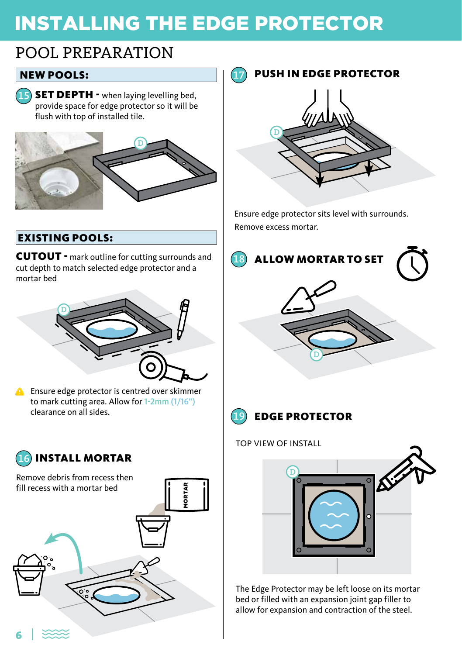# INSTALLING THE EDGE PROTECTOR

# POOL PREPARATION

# NEW POOLS:

**SET DEPTH - when laying levelling bed,** provide space for edge protector so it will be flush with top of installed tile. 15



# EXISTING POOLS:

CUTOUT - mark outline for cutting surrounds and cut depth to match selected edge protector and a mortar bed



**A** Ensure edge protector is centred over skimmer to mark cutting area. Allow for 1-2mm (1/16") clearance on all sides.



PUSH IN EDGE PROTECTOR 17 D

Ensure edge protector sits level with surrounds. Remove excess mortar.





EDGE PROTECTOR

TOP VIEW OF INSTALL



The Edge Protector may be left loose on its mortar bed or filled with an expansion joint gap filler to allow for expansion and contraction of the steel.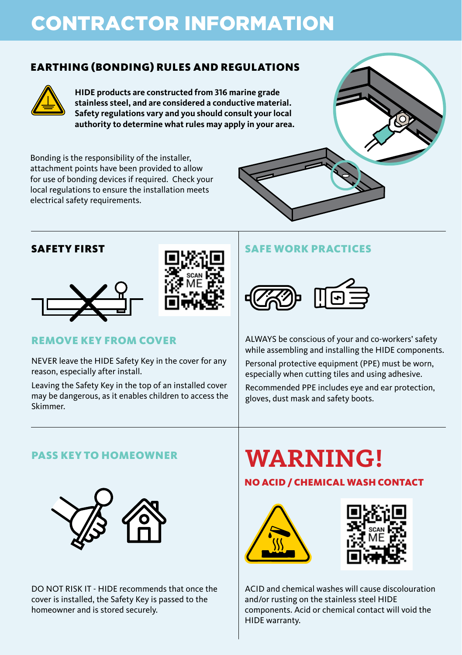# CONTRACTOR INFORMATION

# EARTHING (BONDING) RULES AND REGULATIONS



**HIDE products are constructed from 316 marine grade stainless steel, and are considered a conductive material. Safety regulations vary and you should consult your local authority to determine what rules may apply in your area.**

Bonding is the responsibility of the installer, attachment points have been provided to allow for use of bonding devices if required. Check your local regulations to ensure the installation meets electrical safety requirements.



## SAFETY FIRST





# REMOVE KEY FROM COVER

NEVER leave the HIDE Safety Key in the cover for any reason, especially after install.

Leaving the Safety Key in the top of an installed cover may be dangerous, as it enables children to access the Skimmer.

# SAFE WORK PRACTICES



ALWAYS be conscious of your and co-workers' safety while assembling and installing the HIDE components.

Personal protective equipment (PPE) must be worn, especially when cutting tiles and using adhesive.

Recommended PPE includes eye and ear protection, gloves, dust mask and safety boots.

# PASS KEY TO HOMEOWNER



DO NOT RISK IT - HIDE recommends that once the cover is installed, the Safety Key is passed to the homeowner and is stored securely.

# **WARNING!**

# NO ACID / CHEMICAL WASH CONTACT





ACID and chemical washes will cause discolouration and/or rusting on the stainless steel HIDE components. Acid or chemical contact will void the HIDE warranty.